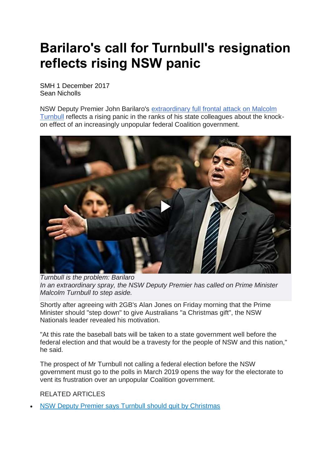## **Barilaro's call for Turnbull's resignation reflects rising NSW panic**

SMH 1 December 2017 Sean Nicholls

NSW Deputy Premier John Barilaro's [extraordinary](http://www.smh.com.au/federal-politics/political-news/nsw-deputy-premier-says-prime-minister-should-quit-by-christmas-20171130-gzwgdt.html) full frontal attack on Malcolm [Turnbull](http://www.smh.com.au/federal-politics/political-news/nsw-deputy-premier-says-prime-minister-should-quit-by-christmas-20171130-gzwgdt.html) reflects a rising panic in the ranks of his state colleagues about the knockon effect of an increasingly unpopular federal Coalition government.



*Turnbull is the problem: Barilaro In an extraordinary spray, the NSW Deputy Premier has called on Prime Minister Malcolm Turnbull to step aside.*

Shortly after agreeing with 2GB's Alan Jones on Friday morning that the Prime Minister should "step down" to give Australians "a Christmas gift", the NSW Nationals leader revealed his motivation.

"At this rate the baseball bats will be taken to a state government well before the federal election and that would be a travesty for the people of NSW and this nation," he said.

The prospect of Mr Turnbull not calling a federal election before the NSW government must go to the polls in March 2019 opens the way for the electorate to vent its frustration over an unpopular Coalition government.

RELATED ARTICLES

• NSW Deputy Premier says Turnbull should quit by [Christmas](http://www.smh.com.au/federal-politics/political-news/nsw-deputy-premier-says-prime-minister-should-quit-by-christmas-20171130-gzwgdt.html)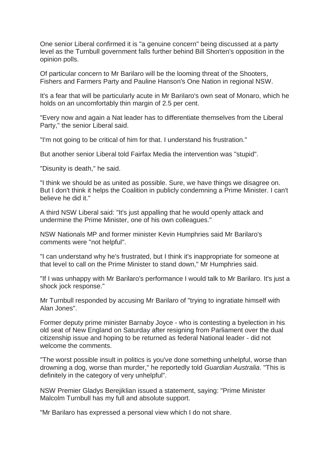One senior Liberal confirmed it is "a genuine concern" being discussed at a party level as the Turnbull government falls further behind Bill Shorten's opposition in the opinion polls.

Of particular concern to Mr Barilaro will be the looming threat of the Shooters, Fishers and Farmers Party and Pauline Hanson's One Nation in regional NSW.

It's a fear that will be particularly acute in Mr Barilaro's own seat of Monaro, which he holds on an uncomfortably thin margin of 2.5 per cent.

"Every now and again a Nat leader has to differentiate themselves from the Liberal Party," the senior Liberal said.

"I'm not going to be critical of him for that. I understand his frustration."

But another senior Liberal told Fairfax Media the intervention was "stupid".

"Disunity is death," he said.

"I think we should be as united as possible. Sure, we have things we disagree on. But I don't think it helps the Coalition in publicly condemning a Prime Minister. I can't believe he did it."

A third NSW Liberal said: "It's just appalling that he would openly attack and undermine the Prime Minister, one of his own colleagues."

NSW Nationals MP and former minister Kevin Humphries said Mr Barilaro's comments were "not helpful".

"I can understand why he's frustrated, but I think it's inappropriate for someone at that level to call on the Prime Minister to stand down," Mr Humphries said.

"If I was unhappy with Mr Barilaro's performance I would talk to Mr Barilaro. It's just a shock jock response."

Mr Turnbull responded by accusing Mr Barilaro of "trying to ingratiate himself with Alan Jones".

Former deputy prime minister Barnaby Joyce - who is contesting a byelection in his old seat of New England on Saturday after resigning from Parliament over the dual citizenship issue and hoping to be returned as federal National leader - did not welcome the comments.

"The worst possible insult in politics is you've done something unhelpful, worse than drowning a dog, worse than murder," he reportedly told *Guardian Australia*. "This is definitely in the category of very unhelpful".

NSW Premier Gladys Berejiklian issued a statement, saying: "Prime Minister Malcolm Turnbull has my full and absolute support.

"Mr Barilaro has expressed a personal view which I do not share.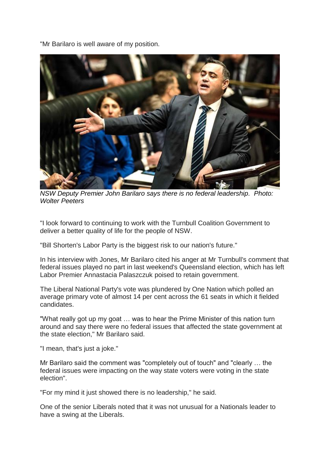"Mr Barilaro is well aware of my position.



*NSW Deputy Premier John Barilaro says there is no federal leadership. Photo: Wolter Peeters*

"I look forward to continuing to work with the Turnbull Coalition Government to deliver a better quality of life for the people of NSW.

"Bill Shorten's Labor Party is the biggest risk to our nation's future."

In his interview with Jones, Mr Barilaro cited his anger at Mr Turnbull's comment that federal issues played no part in last weekend's Queensland election, which has left Labor Premier Annastacia Palaszczuk poised to retain government.

The Liberal National Party's vote was plundered by One Nation which polled an average primary vote of almost 14 per cent across the 61 seats in which it fielded candidates.

"What really got up my goat … was to hear the Prime Minister of this nation turn around and say there were no federal issues that affected the state government at the state election," Mr Barilaro said.

"I mean, that's just a joke."

Mr Barilaro said the comment was "completely out of touch" and "clearly … the federal issues were impacting on the way state voters were voting in the state election".

"For my mind it just showed there is no leadership," he said.

One of the senior Liberals noted that it was not unusual for a Nationals leader to have a swing at the Liberals.